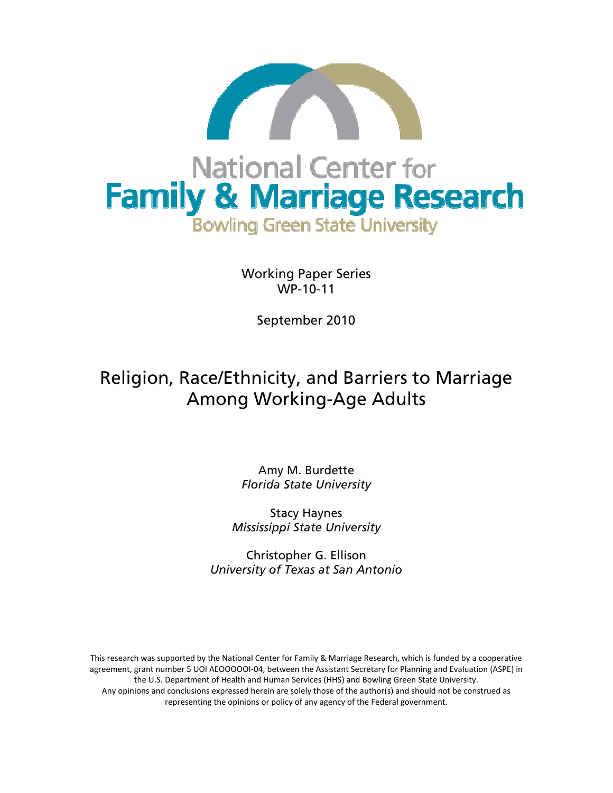

Working Paper Series WP-10-11

September 2010

# Religion, Race/Ethnicity, and Barriers to Marriage Among Working-Age Adults

Amy M. Burdette *Florida State University*

Stacy Haynes *Mississippi State University* 

Christopher G. Ellison *University of Texas at San Antonio* 

This research was supported by the National Center for Family & Marriage Research, which is funded by a cooperative agreement, grant number 5 UOI AEOOOOOI‐04, between the Assistant Secretary for Planning and Evaluation (ASPE) in the U.S. Department of Health and Human Services (HHS) and Bowling Green State University. Any opinions and conclusions expressed herein are solely those of the author(s) and should not be construed as representing the opinions or policy of any agency of the Federal government.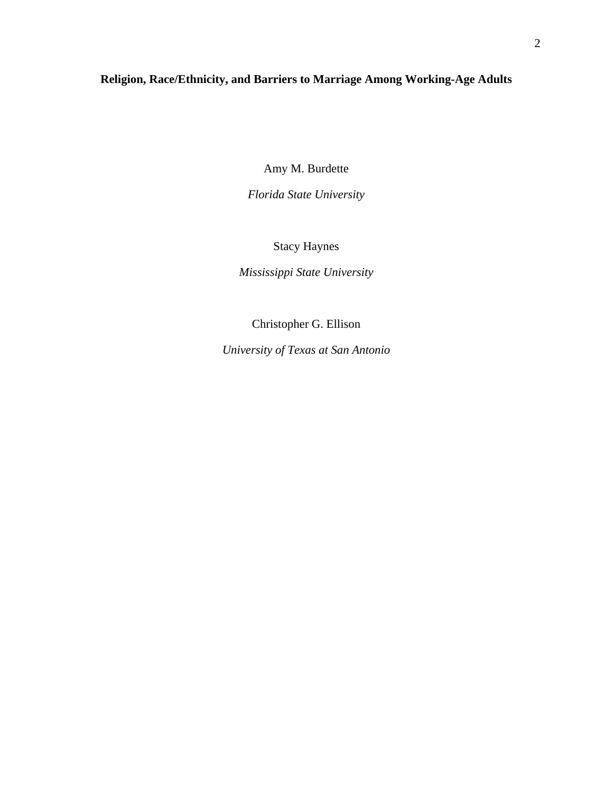# **Religion, Race/Ethnicity, and Barriers to Marriage Among Working-Age Adults**

Amy M. Burdette

*Florida State University* 

Stacy Haynes

*Mississippi State University* 

Christopher G. Ellison

*University of Texas at San Antonio*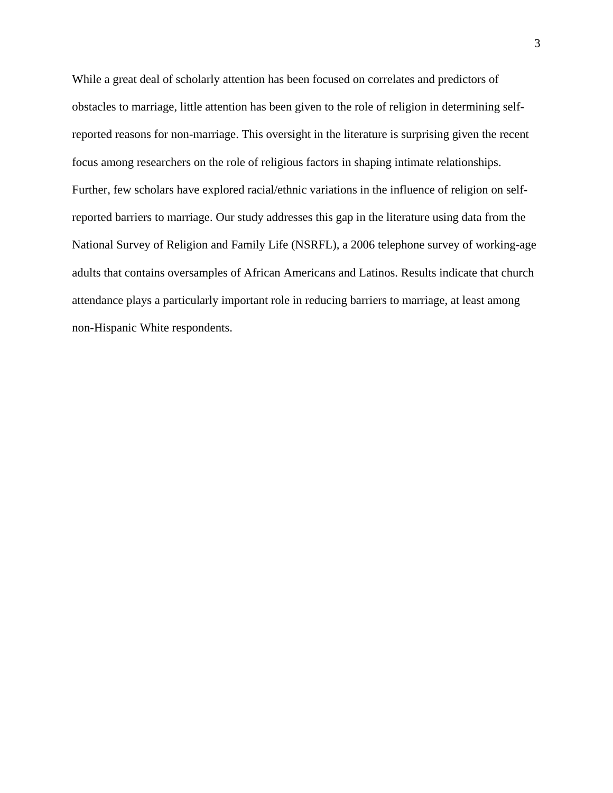While a great deal of scholarly attention has been focused on correlates and predictors of obstacles to marriage, little attention has been given to the role of religion in determining selfreported reasons for non-marriage. This oversight in the literature is surprising given the recent focus among researchers on the role of religious factors in shaping intimate relationships. Further, few scholars have explored racial/ethnic variations in the influence of religion on selfreported barriers to marriage. Our study addresses this gap in the literature using data from the National Survey of Religion and Family Life (NSRFL), a 2006 telephone survey of working-age adults that contains oversamples of African Americans and Latinos. Results indicate that church attendance plays a particularly important role in reducing barriers to marriage, at least among non-Hispanic White respondents.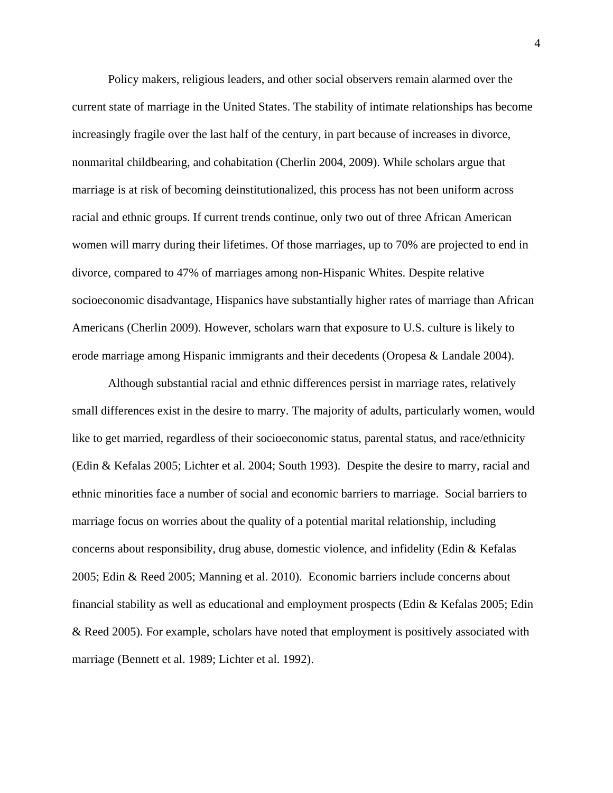Policy makers, religious leaders, and other social observers remain alarmed over the current state of marriage in the United States. The stability of intimate relationships has become increasingly fragile over the last half of the century, in part because of increases in divorce, nonmarital childbearing, and cohabitation (Cherlin 2004, 2009). While scholars argue that marriage is at risk of becoming deinstitutionalized, this process has not been uniform across racial and ethnic groups. If current trends continue, only two out of three African American women will marry during their lifetimes. Of those marriages, up to 70% are projected to end in divorce, compared to 47% of marriages among non-Hispanic Whites. Despite relative socioeconomic disadvantage, Hispanics have substantially higher rates of marriage than African Americans (Cherlin 2009). However, scholars warn that exposure to U.S. culture is likely to erode marriage among Hispanic immigrants and their decedents (Oropesa & Landale 2004).

Although substantial racial and ethnic differences persist in marriage rates, relatively small differences exist in the desire to marry. The majority of adults, particularly women, would like to get married, regardless of their socioeconomic status, parental status, and race/ethnicity (Edin & Kefalas 2005; Lichter et al. 2004; South 1993). Despite the desire to marry, racial and ethnic minorities face a number of social and economic barriers to marriage. Social barriers to marriage focus on worries about the quality of a potential marital relationship, including concerns about responsibility, drug abuse, domestic violence, and infidelity (Edin & Kefalas 2005; Edin & Reed 2005; Manning et al. 2010). Economic barriers include concerns about financial stability as well as educational and employment prospects (Edin & Kefalas 2005; Edin & Reed 2005). For example, scholars have noted that employment is positively associated with marriage (Bennett et al. 1989; Lichter et al. 1992).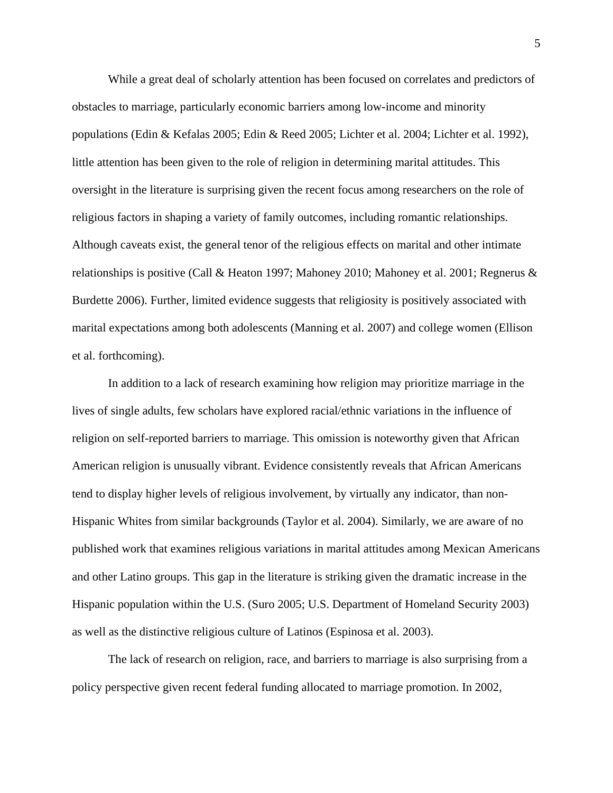While a great deal of scholarly attention has been focused on correlates and predictors of obstacles to marriage, particularly economic barriers among low-income and minority populations (Edin & Kefalas 2005; Edin & Reed 2005; Lichter et al. 2004; Lichter et al. 1992), little attention has been given to the role of religion in determining marital attitudes. This oversight in the literature is surprising given the recent focus among researchers on the role of religious factors in shaping a variety of family outcomes, including romantic relationships. Although caveats exist, the general tenor of the religious effects on marital and other intimate relationships is positive (Call & Heaton 1997; Mahoney 2010; Mahoney et al. 2001; Regnerus & Burdette 2006). Further, limited evidence suggests that religiosity is positively associated with marital expectations among both adolescents (Manning et al. 2007) and college women (Ellison et al. forthcoming).

 In addition to a lack of research examining how religion may prioritize marriage in the lives of single adults, few scholars have explored racial/ethnic variations in the influence of religion on self-reported barriers to marriage. This omission is noteworthy given that African American religion is unusually vibrant. Evidence consistently reveals that African Americans tend to display higher levels of religious involvement, by virtually any indicator, than non-Hispanic Whites from similar backgrounds (Taylor et al. 2004). Similarly, we are aware of no published work that examines religious variations in marital attitudes among Mexican Americans and other Latino groups. This gap in the literature is striking given the dramatic increase in the Hispanic population within the U.S. (Suro 2005; U.S. Department of Homeland Security 2003) as well as the distinctive religious culture of Latinos (Espinosa et al. 2003).

 The lack of research on religion, race, and barriers to marriage is also surprising from a policy perspective given recent federal funding allocated to marriage promotion. In 2002,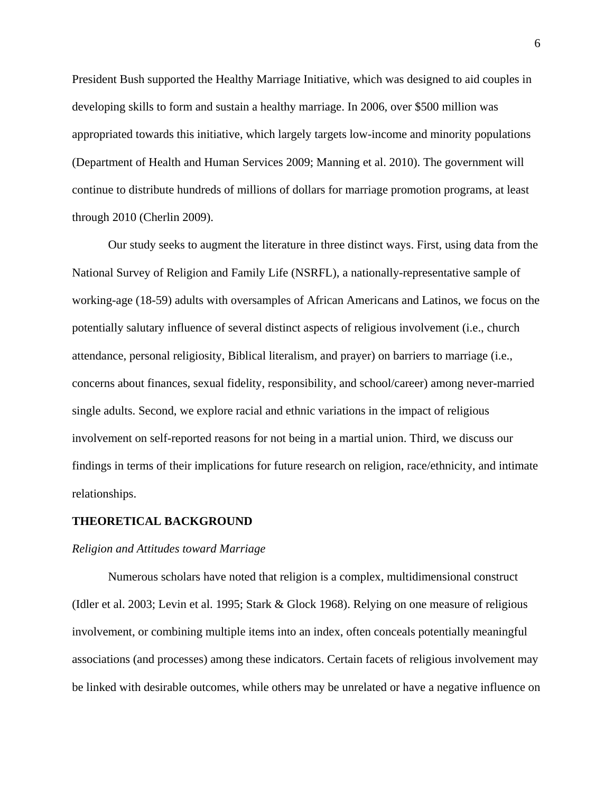President Bush supported the Healthy Marriage Initiative, which was designed to aid couples in developing skills to form and sustain a healthy marriage. In 2006, over \$500 million was appropriated towards this initiative, which largely targets low-income and minority populations (Department of Health and Human Services 2009; Manning et al. 2010). The government will continue to distribute hundreds of millions of dollars for marriage promotion programs, at least through 2010 (Cherlin 2009).

Our study seeks to augment the literature in three distinct ways. First, using data from the National Survey of Religion and Family Life (NSRFL), a nationally-representative sample of working-age (18-59) adults with oversamples of African Americans and Latinos, we focus on the potentially salutary influence of several distinct aspects of religious involvement (i.e., church attendance, personal religiosity, Biblical literalism, and prayer) on barriers to marriage (i.e., concerns about finances, sexual fidelity, responsibility, and school/career) among never-married single adults. Second, we explore racial and ethnic variations in the impact of religious involvement on self-reported reasons for not being in a martial union. Third, we discuss our findings in terms of their implications for future research on religion, race/ethnicity, and intimate relationships.

# **THEORETICAL BACKGROUND**

#### *Religion and Attitudes toward Marriage*

Numerous scholars have noted that religion is a complex, multidimensional construct (Idler et al. 2003; Levin et al. 1995; Stark & Glock 1968). Relying on one measure of religious involvement, or combining multiple items into an index, often conceals potentially meaningful associations (and processes) among these indicators. Certain facets of religious involvement may be linked with desirable outcomes, while others may be unrelated or have a negative influence on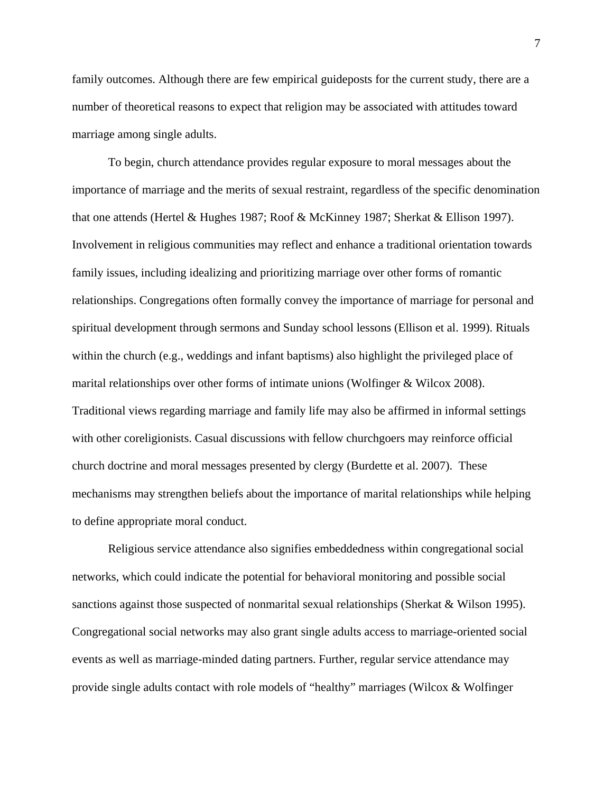family outcomes. Although there are few empirical guideposts for the current study, there are a number of theoretical reasons to expect that religion may be associated with attitudes toward marriage among single adults.

 To begin, church attendance provides regular exposure to moral messages about the importance of marriage and the merits of sexual restraint, regardless of the specific denomination that one attends (Hertel & Hughes 1987; Roof & McKinney 1987; Sherkat & Ellison 1997). Involvement in religious communities may reflect and enhance a traditional orientation towards family issues, including idealizing and prioritizing marriage over other forms of romantic relationships. Congregations often formally convey the importance of marriage for personal and spiritual development through sermons and Sunday school lessons (Ellison et al. 1999). Rituals within the church (e.g., weddings and infant baptisms) also highlight the privileged place of marital relationships over other forms of intimate unions (Wolfinger & Wilcox 2008). Traditional views regarding marriage and family life may also be affirmed in informal settings with other coreligionists. Casual discussions with fellow churchgoers may reinforce official church doctrine and moral messages presented by clergy (Burdette et al. 2007). These mechanisms may strengthen beliefs about the importance of marital relationships while helping to define appropriate moral conduct.

Religious service attendance also signifies embeddedness within congregational social networks, which could indicate the potential for behavioral monitoring and possible social sanctions against those suspected of nonmarital sexual relationships (Sherkat & Wilson 1995). Congregational social networks may also grant single adults access to marriage-oriented social events as well as marriage-minded dating partners. Further, regular service attendance may provide single adults contact with role models of "healthy" marriages (Wilcox & Wolfinger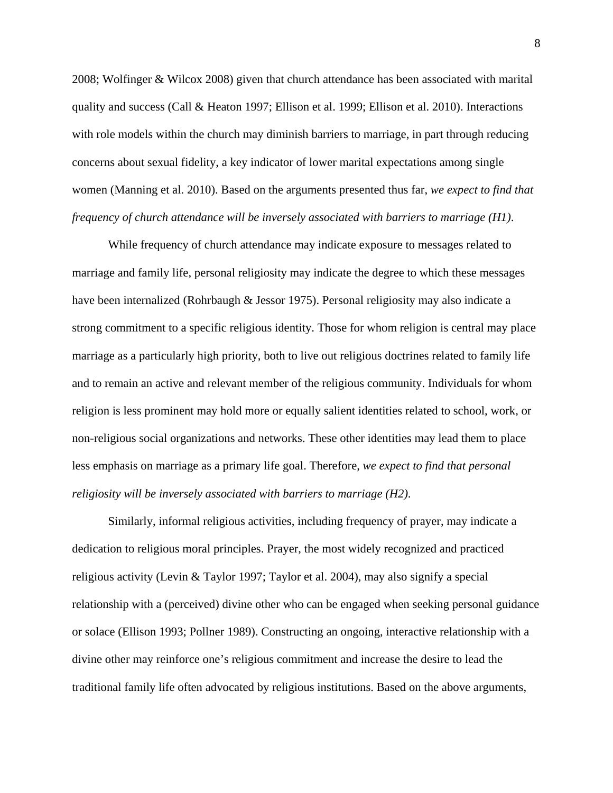2008; Wolfinger & Wilcox 2008) given that church attendance has been associated with marital quality and success (Call & Heaton 1997; Ellison et al. 1999; Ellison et al. 2010). Interactions with role models within the church may diminish barriers to marriage, in part through reducing concerns about sexual fidelity, a key indicator of lower marital expectations among single women (Manning et al. 2010). Based on the arguments presented thus far, *we expect to find that frequency of church attendance will be inversely associated with barriers to marriage (H1)*.

While frequency of church attendance may indicate exposure to messages related to marriage and family life, personal religiosity may indicate the degree to which these messages have been internalized (Rohrbaugh & Jessor 1975). Personal religiosity may also indicate a strong commitment to a specific religious identity. Those for whom religion is central may place marriage as a particularly high priority, both to live out religious doctrines related to family life and to remain an active and relevant member of the religious community. Individuals for whom religion is less prominent may hold more or equally salient identities related to school, work, or non-religious social organizations and networks. These other identities may lead them to place less emphasis on marriage as a primary life goal. Therefore, *we expect to find that personal religiosity will be inversely associated with barriers to marriage (H2)*.

Similarly, informal religious activities, including frequency of prayer, may indicate a dedication to religious moral principles. Prayer, the most widely recognized and practiced religious activity (Levin & Taylor 1997; Taylor et al. 2004), may also signify a special relationship with a (perceived) divine other who can be engaged when seeking personal guidance or solace (Ellison 1993; Pollner 1989). Constructing an ongoing, interactive relationship with a divine other may reinforce one's religious commitment and increase the desire to lead the traditional family life often advocated by religious institutions. Based on the above arguments,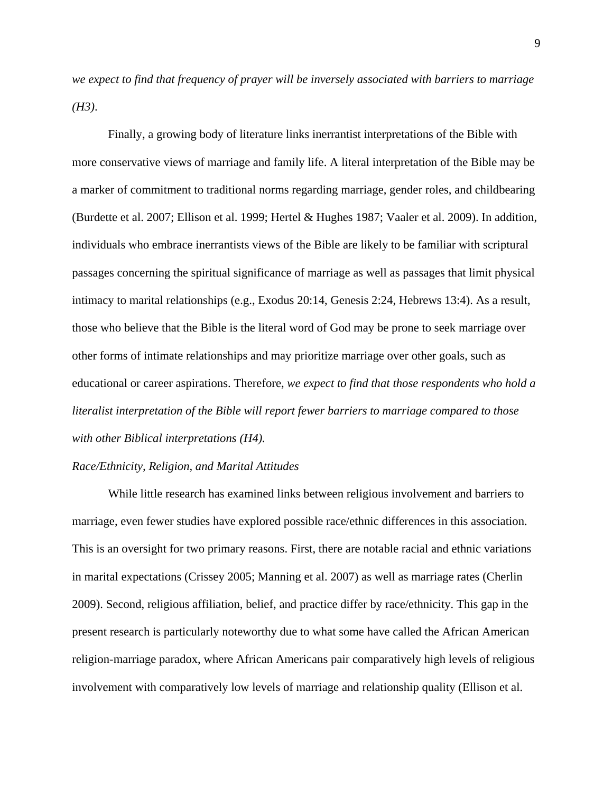*we expect to find that frequency of prayer will be inversely associated with barriers to marriage (H3)*.

 Finally, a growing body of literature links inerrantist interpretations of the Bible with more conservative views of marriage and family life. A literal interpretation of the Bible may be a marker of commitment to traditional norms regarding marriage, gender roles, and childbearing (Burdette et al. 2007; Ellison et al. 1999; Hertel & Hughes 1987; Vaaler et al. 2009). In addition, individuals who embrace inerrantists views of the Bible are likely to be familiar with scriptural passages concerning the spiritual significance of marriage as well as passages that limit physical intimacy to marital relationships (e.g., Exodus 20:14, Genesis 2:24, Hebrews 13:4). As a result, those who believe that the Bible is the literal word of God may be prone to seek marriage over other forms of intimate relationships and may prioritize marriage over other goals, such as educational or career aspirations. Therefore, *we expect to find that those respondents who hold a literalist interpretation of the Bible will report fewer barriers to marriage compared to those with other Biblical interpretations (H4).*

# *Race/Ethnicity, Religion, and Marital Attitudes*

While little research has examined links between religious involvement and barriers to marriage, even fewer studies have explored possible race/ethnic differences in this association. This is an oversight for two primary reasons. First, there are notable racial and ethnic variations in marital expectations (Crissey 2005; Manning et al. 2007) as well as marriage rates (Cherlin 2009). Second, religious affiliation, belief, and practice differ by race/ethnicity. This gap in the present research is particularly noteworthy due to what some have called the African American religion-marriage paradox, where African Americans pair comparatively high levels of religious involvement with comparatively low levels of marriage and relationship quality (Ellison et al.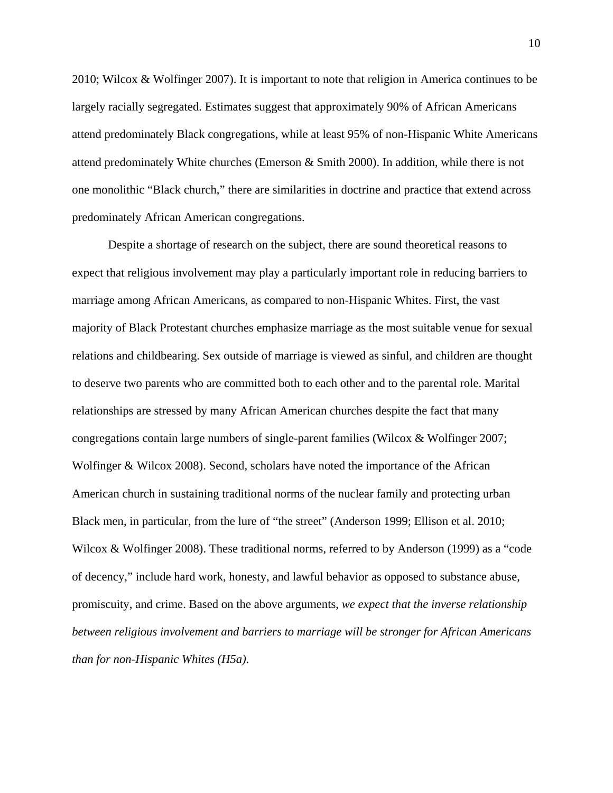2010; Wilcox & Wolfinger 2007). It is important to note that religion in America continues to be largely racially segregated. Estimates suggest that approximately 90% of African Americans attend predominately Black congregations, while at least 95% of non-Hispanic White Americans attend predominately White churches (Emerson & Smith 2000). In addition, while there is not one monolithic "Black church," there are similarities in doctrine and practice that extend across predominately African American congregations.

 Despite a shortage of research on the subject, there are sound theoretical reasons to expect that religious involvement may play a particularly important role in reducing barriers to marriage among African Americans, as compared to non-Hispanic Whites. First, the vast majority of Black Protestant churches emphasize marriage as the most suitable venue for sexual relations and childbearing. Sex outside of marriage is viewed as sinful, and children are thought to deserve two parents who are committed both to each other and to the parental role. Marital relationships are stressed by many African American churches despite the fact that many congregations contain large numbers of single-parent families (Wilcox & Wolfinger 2007; Wolfinger & Wilcox 2008). Second, scholars have noted the importance of the African American church in sustaining traditional norms of the nuclear family and protecting urban Black men, in particular, from the lure of "the street" (Anderson 1999; Ellison et al. 2010; Wilcox & Wolfinger 2008). These traditional norms, referred to by Anderson (1999) as a "code of decency," include hard work, honesty, and lawful behavior as opposed to substance abuse, promiscuity, and crime. Based on the above arguments, *we expect that the inverse relationship between religious involvement and barriers to marriage will be stronger for African Americans than for non-Hispanic Whites (H5a)*.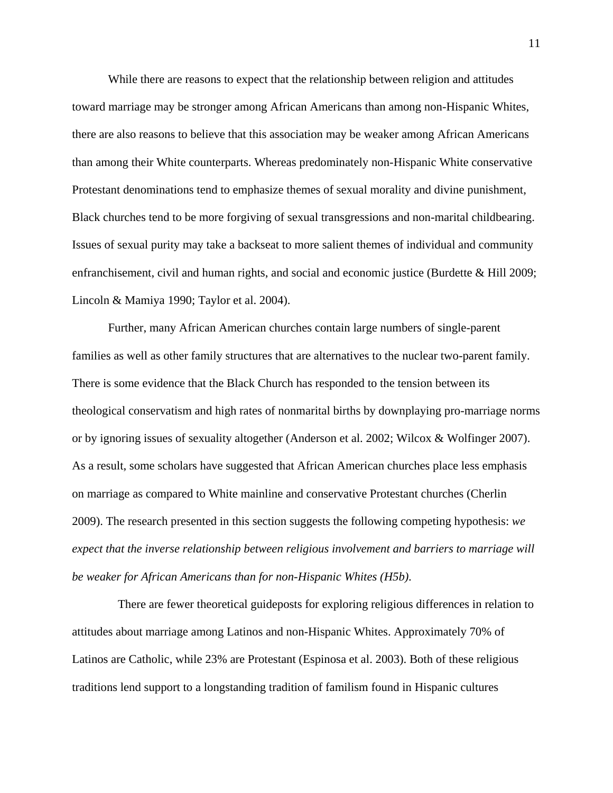While there are reasons to expect that the relationship between religion and attitudes toward marriage may be stronger among African Americans than among non-Hispanic Whites, there are also reasons to believe that this association may be weaker among African Americans than among their White counterparts. Whereas predominately non-Hispanic White conservative Protestant denominations tend to emphasize themes of sexual morality and divine punishment, Black churches tend to be more forgiving of sexual transgressions and non-marital childbearing. Issues of sexual purity may take a backseat to more salient themes of individual and community enfranchisement, civil and human rights, and social and economic justice (Burdette & Hill 2009; Lincoln & Mamiya 1990; Taylor et al. 2004).

 Further, many African American churches contain large numbers of single-parent families as well as other family structures that are alternatives to the nuclear two-parent family. There is some evidence that the Black Church has responded to the tension between its theological conservatism and high rates of nonmarital births by downplaying pro-marriage norms or by ignoring issues of sexuality altogether (Anderson et al. 2002; Wilcox & Wolfinger 2007). As a result, some scholars have suggested that African American churches place less emphasis on marriage as compared to White mainline and conservative Protestant churches (Cherlin 2009). The research presented in this section suggests the following competing hypothesis: *we expect that the inverse relationship between religious involvement and barriers to marriage will be weaker for African Americans than for non-Hispanic Whites (H5b)*.

 There are fewer theoretical guideposts for exploring religious differences in relation to attitudes about marriage among Latinos and non-Hispanic Whites. Approximately 70% of Latinos are Catholic, while 23% are Protestant (Espinosa et al. 2003). Both of these religious traditions lend support to a longstanding tradition of familism found in Hispanic cultures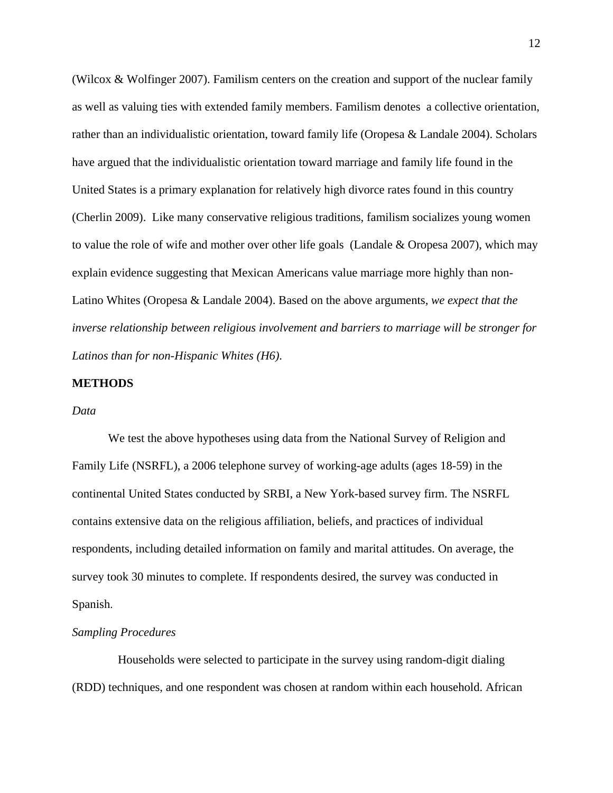(Wilcox & Wolfinger 2007). Familism centers on the creation and support of the nuclear family as well as valuing ties with extended family members. Familism denotes a collective orientation, rather than an individualistic orientation, toward family life (Oropesa & Landale 2004). Scholars have argued that the individualistic orientation toward marriage and family life found in the United States is a primary explanation for relatively high divorce rates found in this country (Cherlin 2009). Like many conservative religious traditions, familism socializes young women to value the role of wife and mother over other life goals (Landale & Oropesa 2007), which may explain evidence suggesting that Mexican Americans value marriage more highly than non-Latino Whites (Oropesa & Landale 2004). Based on the above arguments, *we expect that the inverse relationship between religious involvement and barriers to marriage will be stronger for Latinos than for non-Hispanic Whites (H6)*.

# **METHODS**

# *Data*

We test the above hypotheses using data from the National Survey of Religion and Family Life (NSRFL), a 2006 telephone survey of working-age adults (ages 18-59) in the continental United States conducted by SRBI, a New York-based survey firm. The NSRFL contains extensive data on the religious affiliation, beliefs, and practices of individual respondents, including detailed information on family and marital attitudes. On average, the survey took 30 minutes to complete. If respondents desired, the survey was conducted in Spanish.

# *Sampling Procedures*

 Households were selected to participate in the survey using random-digit dialing (RDD) techniques, and one respondent was chosen at random within each household. African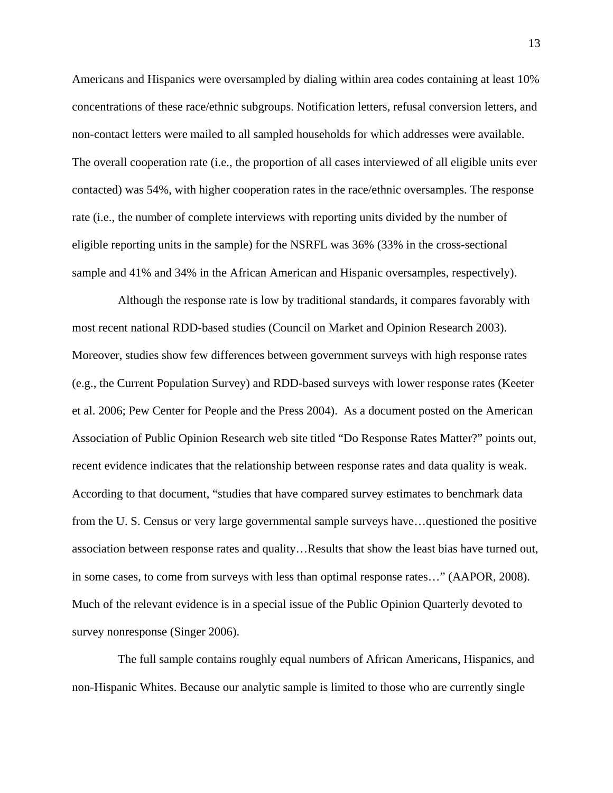Americans and Hispanics were oversampled by dialing within area codes containing at least 10% concentrations of these race/ethnic subgroups. Notification letters, refusal conversion letters, and non-contact letters were mailed to all sampled households for which addresses were available. The overall cooperation rate (i.e., the proportion of all cases interviewed of all eligible units ever contacted) was 54%, with higher cooperation rates in the race/ethnic oversamples. The response rate (i.e., the number of complete interviews with reporting units divided by the number of eligible reporting units in the sample) for the NSRFL was 36% (33% in the cross-sectional sample and 41% and 34% in the African American and Hispanic oversamples, respectively).

Although the response rate is low by traditional standards, it compares favorably with most recent national RDD-based studies (Council on Market and Opinion Research 2003). Moreover, studies show few differences between government surveys with high response rates (e.g., the Current Population Survey) and RDD-based surveys with lower response rates (Keeter et al. 2006; Pew Center for People and the Press 2004). As a document posted on the American Association of Public Opinion Research web site titled "Do Response Rates Matter?" points out, recent evidence indicates that the relationship between response rates and data quality is weak. According to that document, "studies that have compared survey estimates to benchmark data from the U. S. Census or very large governmental sample surveys have…questioned the positive association between response rates and quality…Results that show the least bias have turned out, in some cases, to come from surveys with less than optimal response rates…" (AAPOR, 2008). Much of the relevant evidence is in a special issue of the Public Opinion Quarterly devoted to survey nonresponse (Singer 2006).

 The full sample contains roughly equal numbers of African Americans, Hispanics, and non-Hispanic Whites. Because our analytic sample is limited to those who are currently single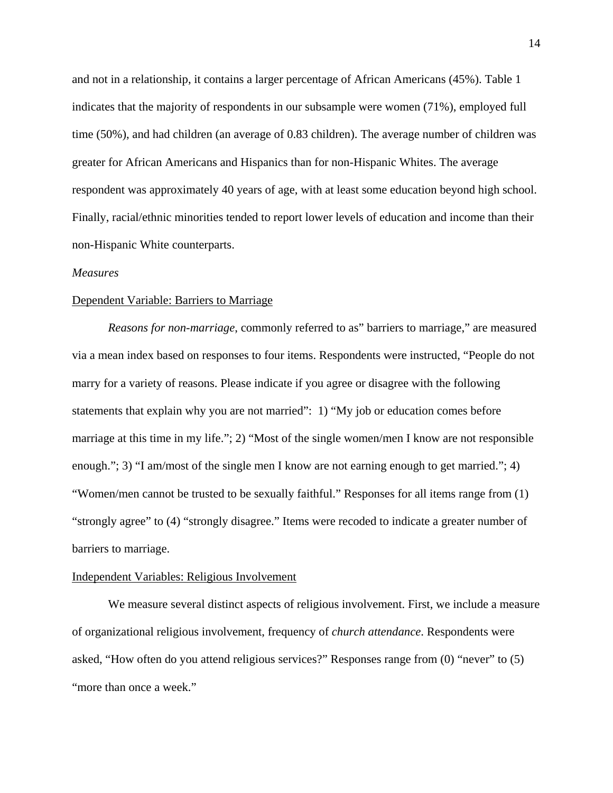and not in a relationship, it contains a larger percentage of African Americans (45%). Table 1 indicates that the majority of respondents in our subsample were women (71%), employed full time (50%), and had children (an average of 0.83 children). The average number of children was greater for African Americans and Hispanics than for non-Hispanic Whites. The average respondent was approximately 40 years of age, with at least some education beyond high school. Finally, racial/ethnic minorities tended to report lower levels of education and income than their non-Hispanic White counterparts.

#### *Measures*

#### Dependent Variable: Barriers to Marriage

*Reasons for non-marriage*, commonly referred to as" barriers to marriage," are measured via a mean index based on responses to four items. Respondents were instructed, "People do not marry for a variety of reasons. Please indicate if you agree or disagree with the following statements that explain why you are not married": 1) "My job or education comes before marriage at this time in my life."; 2) "Most of the single women/men I know are not responsible enough."; 3) "I am/most of the single men I know are not earning enough to get married."; 4) "Women/men cannot be trusted to be sexually faithful." Responses for all items range from (1) "strongly agree" to (4) "strongly disagree." Items were recoded to indicate a greater number of barriers to marriage.

## Independent Variables: Religious Involvement

 We measure several distinct aspects of religious involvement. First, we include a measure of organizational religious involvement, frequency of *church attendance*. Respondents were asked, "How often do you attend religious services?" Responses range from (0) "never" to (5) "more than once a week."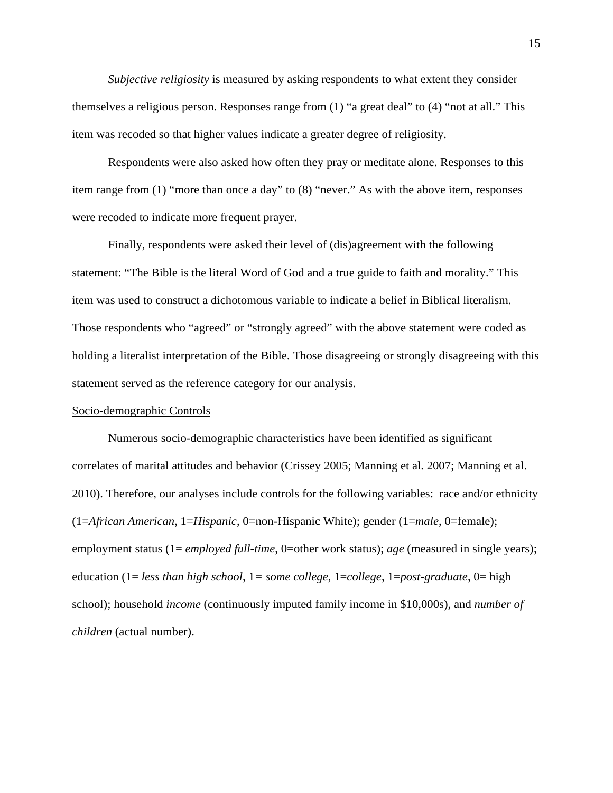*Subjective religiosity* is measured by asking respondents to what extent they consider themselves a religious person. Responses range from (1) "a great deal" to (4) "not at all." This item was recoded so that higher values indicate a greater degree of religiosity.

 Respondents were also asked how often they pray or meditate alone. Responses to this item range from (1) "more than once a day" to (8) "never." As with the above item, responses were recoded to indicate more frequent prayer.

 Finally, respondents were asked their level of (dis)agreement with the following statement: "The Bible is the literal Word of God and a true guide to faith and morality." This item was used to construct a dichotomous variable to indicate a belief in Biblical literalism. Those respondents who "agreed" or "strongly agreed" with the above statement were coded as holding a literalist interpretation of the Bible. Those disagreeing or strongly disagreeing with this statement served as the reference category for our analysis.

#### Socio-demographic Controls

Numerous socio-demographic characteristics have been identified as significant correlates of marital attitudes and behavior (Crissey 2005; Manning et al. 2007; Manning et al. 2010). Therefore, our analyses include controls for the following variables: race and/or ethnicity (1=*African American*, 1=*Hispanic*, 0=non-Hispanic White); gender (1=*male*, 0=female); employment status (1= *employed full-time*, 0=other work status); *age* (measured in single years); education (1= *less than high school*, 1*= some college*, 1=*college*, 1=*post-graduate*, 0= high school); household *income* (continuously imputed family income in \$10,000s), and *number of children* (actual number).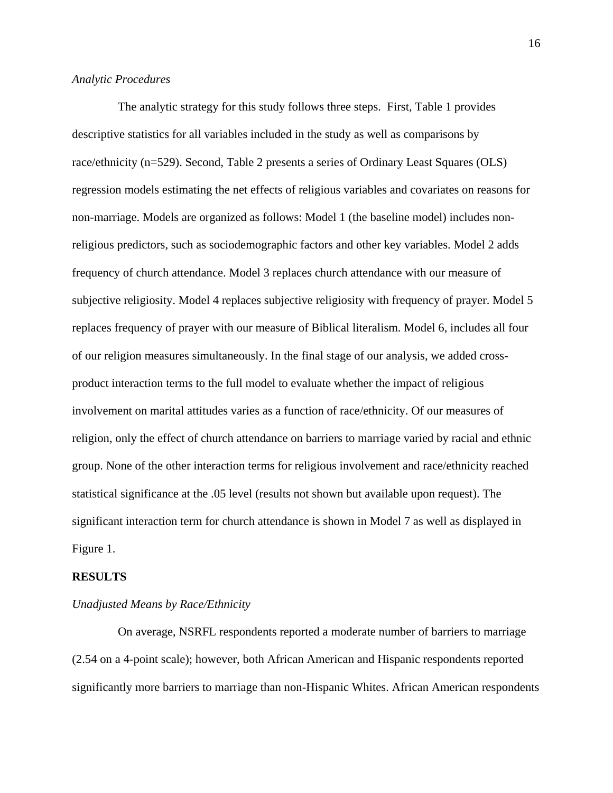# *Analytic Procedures*

 The analytic strategy for this study follows three steps. First, Table 1 provides descriptive statistics for all variables included in the study as well as comparisons by race/ethnicity (n=529). Second, Table 2 presents a series of Ordinary Least Squares (OLS) regression models estimating the net effects of religious variables and covariates on reasons for non-marriage. Models are organized as follows: Model 1 (the baseline model) includes nonreligious predictors, such as sociodemographic factors and other key variables. Model 2 adds frequency of church attendance. Model 3 replaces church attendance with our measure of subjective religiosity. Model 4 replaces subjective religiosity with frequency of prayer. Model 5 replaces frequency of prayer with our measure of Biblical literalism. Model 6, includes all four of our religion measures simultaneously. In the final stage of our analysis, we added crossproduct interaction terms to the full model to evaluate whether the impact of religious involvement on marital attitudes varies as a function of race/ethnicity. Of our measures of religion, only the effect of church attendance on barriers to marriage varied by racial and ethnic group. None of the other interaction terms for religious involvement and race/ethnicity reached statistical significance at the .05 level (results not shown but available upon request). The significant interaction term for church attendance is shown in Model 7 as well as displayed in Figure 1.

#### **RESULTS**

# *Unadjusted Means by Race/Ethnicity*

On average, NSRFL respondents reported a moderate number of barriers to marriage (2.54 on a 4-point scale); however, both African American and Hispanic respondents reported significantly more barriers to marriage than non-Hispanic Whites. African American respondents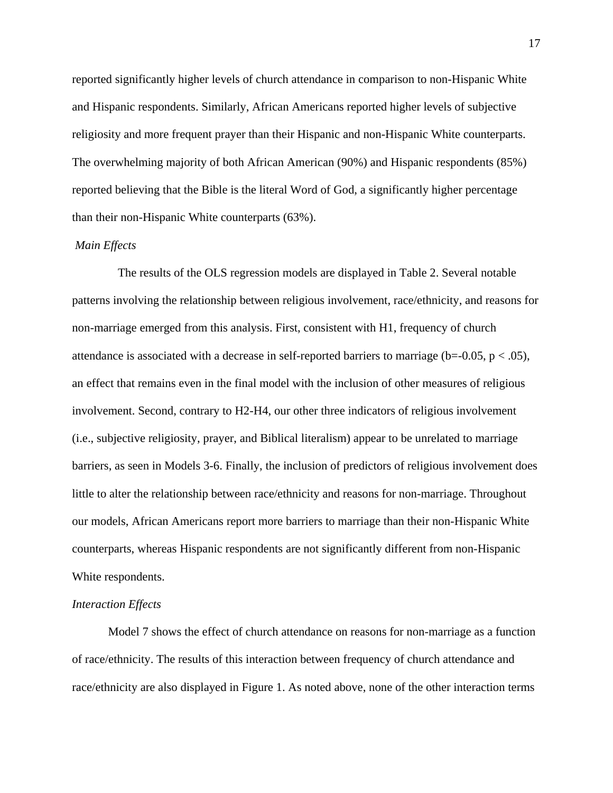reported significantly higher levels of church attendance in comparison to non-Hispanic White and Hispanic respondents. Similarly, African Americans reported higher levels of subjective religiosity and more frequent prayer than their Hispanic and non-Hispanic White counterparts. The overwhelming majority of both African American (90%) and Hispanic respondents (85%) reported believing that the Bible is the literal Word of God, a significantly higher percentage than their non-Hispanic White counterparts (63%).

# *Main Effects*

 The results of the OLS regression models are displayed in Table 2. Several notable patterns involving the relationship between religious involvement, race/ethnicity, and reasons for non-marriage emerged from this analysis. First, consistent with H1, frequency of church attendance is associated with a decrease in self-reported barriers to marriage ( $b=-0.05$ ,  $p < .05$ ), an effect that remains even in the final model with the inclusion of other measures of religious involvement. Second, contrary to H2-H4, our other three indicators of religious involvement (i.e., subjective religiosity, prayer, and Biblical literalism) appear to be unrelated to marriage barriers, as seen in Models 3-6. Finally, the inclusion of predictors of religious involvement does little to alter the relationship between race/ethnicity and reasons for non-marriage. Throughout our models, African Americans report more barriers to marriage than their non-Hispanic White counterparts, whereas Hispanic respondents are not significantly different from non-Hispanic White respondents.

#### *Interaction Effects*

 Model 7 shows the effect of church attendance on reasons for non-marriage as a function of race/ethnicity. The results of this interaction between frequency of church attendance and race/ethnicity are also displayed in Figure 1. As noted above, none of the other interaction terms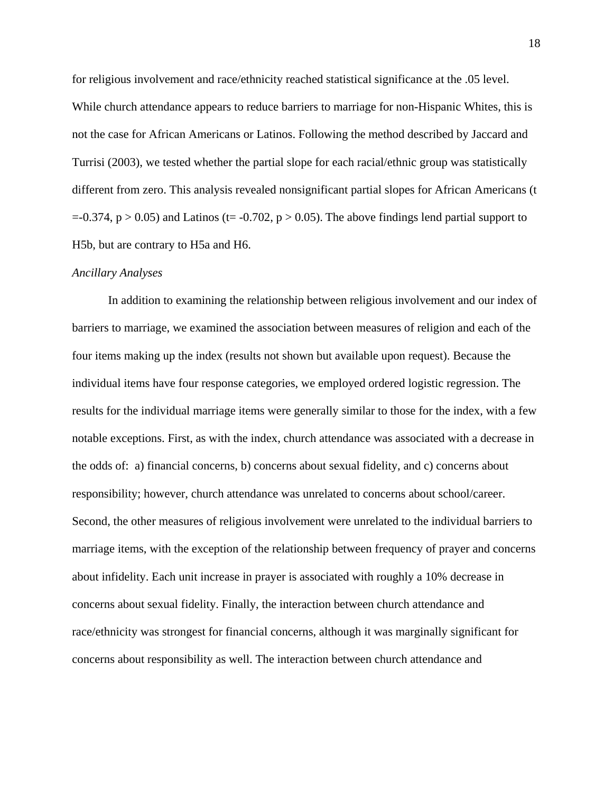for religious involvement and race/ethnicity reached statistical significance at the .05 level. While church attendance appears to reduce barriers to marriage for non-Hispanic Whites, this is not the case for African Americans or Latinos. Following the method described by Jaccard and Turrisi (2003), we tested whether the partial slope for each racial/ethnic group was statistically different from zero. This analysis revealed nonsignificant partial slopes for African Americans (t  $=$  0.374, p > 0.05) and Latinos (t= -0.702, p > 0.05). The above findings lend partial support to H5b, but are contrary to H5a and H6.

#### *Ancillary Analyses*

 In addition to examining the relationship between religious involvement and our index of barriers to marriage, we examined the association between measures of religion and each of the four items making up the index (results not shown but available upon request). Because the individual items have four response categories, we employed ordered logistic regression. The results for the individual marriage items were generally similar to those for the index, with a few notable exceptions. First, as with the index, church attendance was associated with a decrease in the odds of: a) financial concerns, b) concerns about sexual fidelity, and c) concerns about responsibility; however, church attendance was unrelated to concerns about school/career. Second, the other measures of religious involvement were unrelated to the individual barriers to marriage items, with the exception of the relationship between frequency of prayer and concerns about infidelity. Each unit increase in prayer is associated with roughly a 10% decrease in concerns about sexual fidelity. Finally, the interaction between church attendance and race/ethnicity was strongest for financial concerns, although it was marginally significant for concerns about responsibility as well. The interaction between church attendance and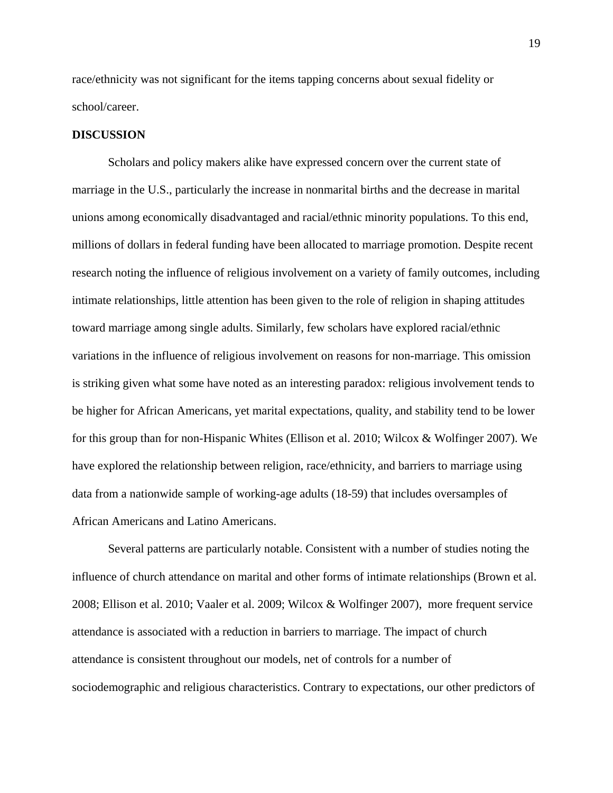race/ethnicity was not significant for the items tapping concerns about sexual fidelity or school/career.

# **DISCUSSION**

Scholars and policy makers alike have expressed concern over the current state of marriage in the U.S., particularly the increase in nonmarital births and the decrease in marital unions among economically disadvantaged and racial/ethnic minority populations. To this end, millions of dollars in federal funding have been allocated to marriage promotion. Despite recent research noting the influence of religious involvement on a variety of family outcomes, including intimate relationships, little attention has been given to the role of religion in shaping attitudes toward marriage among single adults. Similarly, few scholars have explored racial/ethnic variations in the influence of religious involvement on reasons for non-marriage. This omission is striking given what some have noted as an interesting paradox: religious involvement tends to be higher for African Americans, yet marital expectations, quality, and stability tend to be lower for this group than for non-Hispanic Whites (Ellison et al. 2010; Wilcox & Wolfinger 2007). We have explored the relationship between religion, race/ethnicity, and barriers to marriage using data from a nationwide sample of working-age adults (18-59) that includes oversamples of African Americans and Latino Americans.

 Several patterns are particularly notable. Consistent with a number of studies noting the influence of church attendance on marital and other forms of intimate relationships (Brown et al. 2008; Ellison et al. 2010; Vaaler et al. 2009; Wilcox & Wolfinger 2007), more frequent service attendance is associated with a reduction in barriers to marriage. The impact of church attendance is consistent throughout our models, net of controls for a number of sociodemographic and religious characteristics. Contrary to expectations, our other predictors of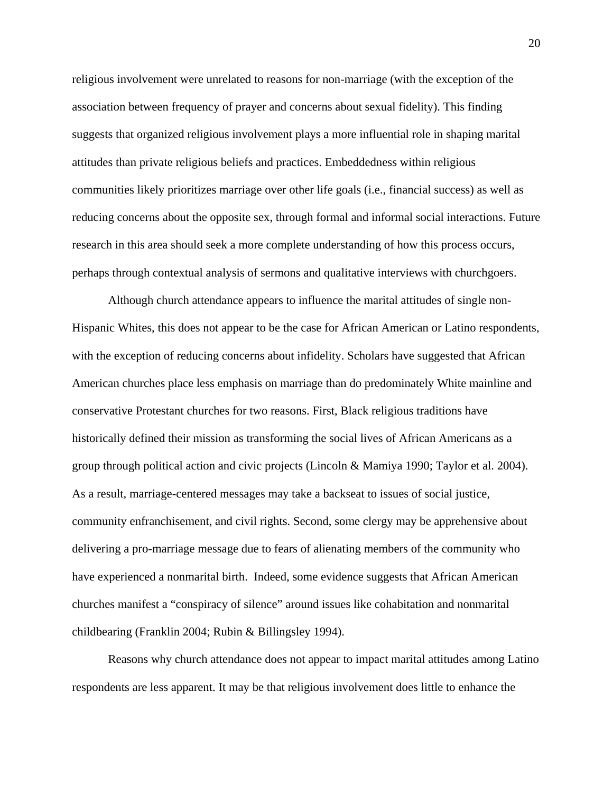religious involvement were unrelated to reasons for non-marriage (with the exception of the association between frequency of prayer and concerns about sexual fidelity). This finding suggests that organized religious involvement plays a more influential role in shaping marital attitudes than private religious beliefs and practices. Embeddedness within religious communities likely prioritizes marriage over other life goals (i.e., financial success) as well as reducing concerns about the opposite sex, through formal and informal social interactions. Future research in this area should seek a more complete understanding of how this process occurs, perhaps through contextual analysis of sermons and qualitative interviews with churchgoers.

 Although church attendance appears to influence the marital attitudes of single non-Hispanic Whites, this does not appear to be the case for African American or Latino respondents, with the exception of reducing concerns about infidelity. Scholars have suggested that African American churches place less emphasis on marriage than do predominately White mainline and conservative Protestant churches for two reasons. First, Black religious traditions have historically defined their mission as transforming the social lives of African Americans as a group through political action and civic projects (Lincoln & Mamiya 1990; Taylor et al. 2004). As a result, marriage-centered messages may take a backseat to issues of social justice, community enfranchisement, and civil rights. Second, some clergy may be apprehensive about delivering a pro-marriage message due to fears of alienating members of the community who have experienced a nonmarital birth. Indeed, some evidence suggests that African American churches manifest a "conspiracy of silence" around issues like cohabitation and nonmarital childbearing (Franklin 2004; Rubin & Billingsley 1994).

 Reasons why church attendance does not appear to impact marital attitudes among Latino respondents are less apparent. It may be that religious involvement does little to enhance the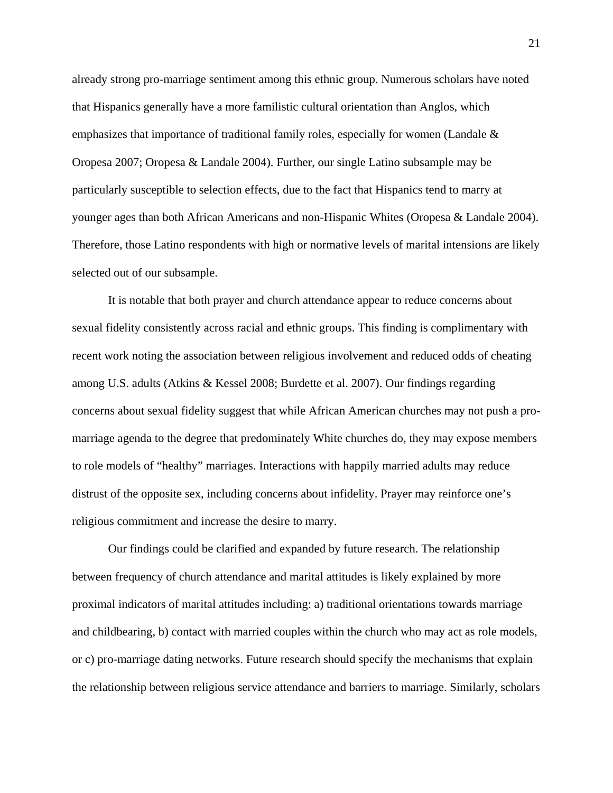already strong pro-marriage sentiment among this ethnic group. Numerous scholars have noted that Hispanics generally have a more familistic cultural orientation than Anglos, which emphasizes that importance of traditional family roles, especially for women (Landale & Oropesa 2007; Oropesa & Landale 2004). Further, our single Latino subsample may be particularly susceptible to selection effects, due to the fact that Hispanics tend to marry at younger ages than both African Americans and non-Hispanic Whites (Oropesa & Landale 2004). Therefore, those Latino respondents with high or normative levels of marital intensions are likely selected out of our subsample.

 It is notable that both prayer and church attendance appear to reduce concerns about sexual fidelity consistently across racial and ethnic groups. This finding is complimentary with recent work noting the association between religious involvement and reduced odds of cheating among U.S. adults (Atkins & Kessel 2008; Burdette et al. 2007). Our findings regarding concerns about sexual fidelity suggest that while African American churches may not push a promarriage agenda to the degree that predominately White churches do, they may expose members to role models of "healthy" marriages. Interactions with happily married adults may reduce distrust of the opposite sex, including concerns about infidelity. Prayer may reinforce one's religious commitment and increase the desire to marry.

 Our findings could be clarified and expanded by future research. The relationship between frequency of church attendance and marital attitudes is likely explained by more proximal indicators of marital attitudes including: a) traditional orientations towards marriage and childbearing, b) contact with married couples within the church who may act as role models, or c) pro-marriage dating networks. Future research should specify the mechanisms that explain the relationship between religious service attendance and barriers to marriage. Similarly, scholars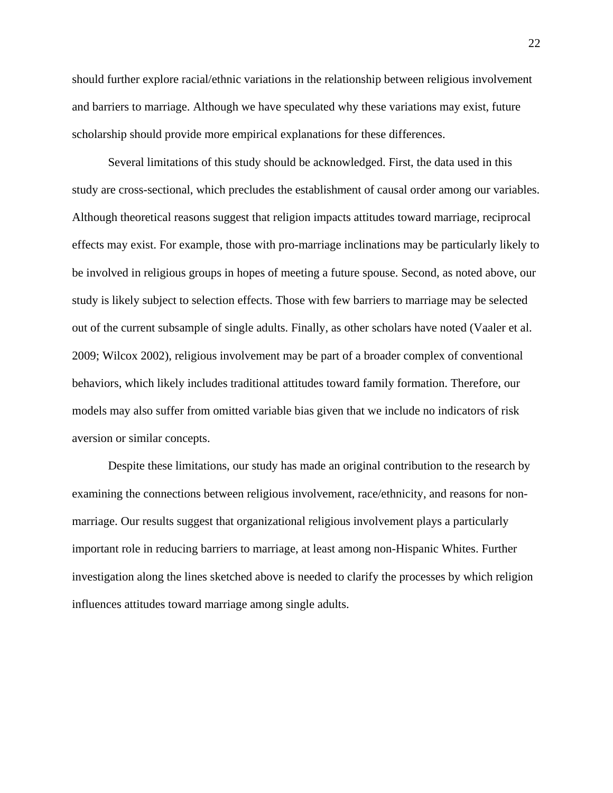should further explore racial/ethnic variations in the relationship between religious involvement and barriers to marriage. Although we have speculated why these variations may exist, future scholarship should provide more empirical explanations for these differences.

 Several limitations of this study should be acknowledged. First, the data used in this study are cross-sectional, which precludes the establishment of causal order among our variables. Although theoretical reasons suggest that religion impacts attitudes toward marriage, reciprocal effects may exist. For example, those with pro-marriage inclinations may be particularly likely to be involved in religious groups in hopes of meeting a future spouse. Second, as noted above, our study is likely subject to selection effects. Those with few barriers to marriage may be selected out of the current subsample of single adults. Finally, as other scholars have noted (Vaaler et al. 2009; Wilcox 2002), religious involvement may be part of a broader complex of conventional behaviors, which likely includes traditional attitudes toward family formation. Therefore, our models may also suffer from omitted variable bias given that we include no indicators of risk aversion or similar concepts.

 Despite these limitations, our study has made an original contribution to the research by examining the connections between religious involvement, race/ethnicity, and reasons for nonmarriage. Our results suggest that organizational religious involvement plays a particularly important role in reducing barriers to marriage, at least among non-Hispanic Whites. Further investigation along the lines sketched above is needed to clarify the processes by which religion influences attitudes toward marriage among single adults.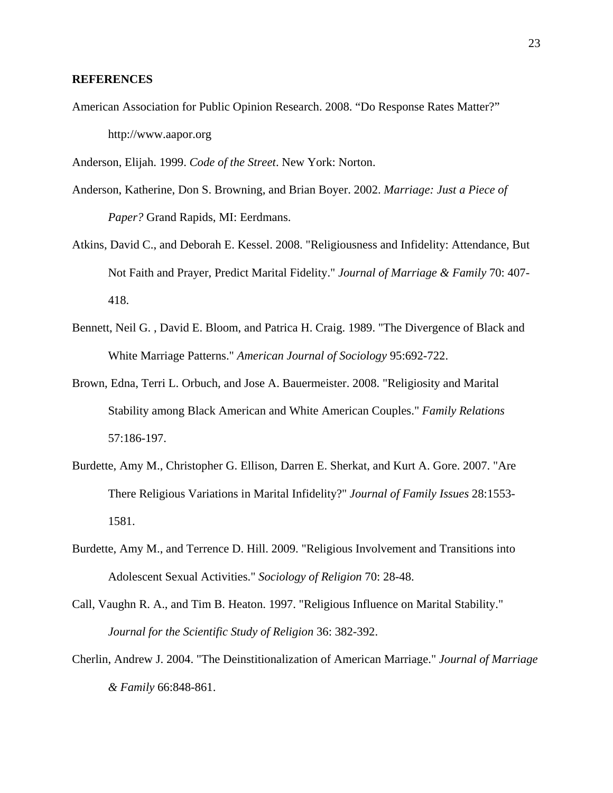# **REFERENCES**

American Association for Public Opinion Research. 2008. "Do Response Rates Matter?" http://www.aapor.org

Anderson, Elijah. 1999. *Code of the Street*. New York: Norton.

- Anderson, Katherine, Don S. Browning, and Brian Boyer. 2002. *Marriage: Just a Piece of Paper?* Grand Rapids, MI: Eerdmans.
- Atkins, David C., and Deborah E. Kessel. 2008. "Religiousness and Infidelity: Attendance, But Not Faith and Prayer, Predict Marital Fidelity." *Journal of Marriage & Family* 70: 407- 418.
- Bennett, Neil G. , David E. Bloom, and Patrica H. Craig. 1989. "The Divergence of Black and White Marriage Patterns." *American Journal of Sociology* 95:692-722.
- Brown, Edna, Terri L. Orbuch, and Jose A. Bauermeister. 2008. "Religiosity and Marital Stability among Black American and White American Couples." *Family Relations* 57:186-197.
- Burdette, Amy M., Christopher G. Ellison, Darren E. Sherkat, and Kurt A. Gore. 2007. "Are There Religious Variations in Marital Infidelity?" *Journal of Family Issues* 28:1553- 1581.
- Burdette, Amy M., and Terrence D. Hill. 2009. "Religious Involvement and Transitions into Adolescent Sexual Activities." *Sociology of Religion* 70: 28-48.
- Call, Vaughn R. A., and Tim B. Heaton. 1997. "Religious Influence on Marital Stability." *Journal for the Scientific Study of Religion* 36: 382-392.
- Cherlin, Andrew J. 2004. "The Deinstitionalization of American Marriage." *Journal of Marriage & Family* 66:848-861.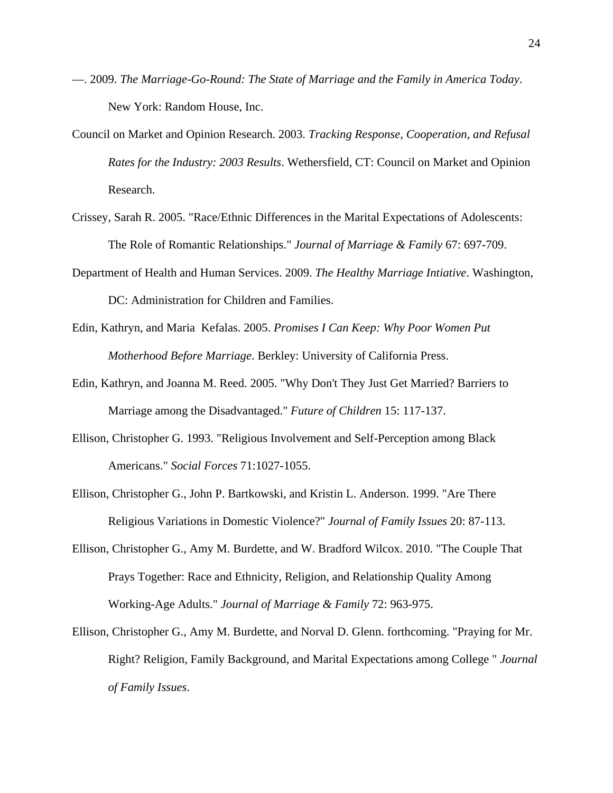- —. 2009. *The Marriage-Go-Round: The State of Marriage and the Family in America Today*. New York: Random House, Inc.
- Council on Market and Opinion Research. 2003. *Tracking Response, Cooperation, and Refusal Rates for the Industry: 2003 Results*. Wethersfield, CT: Council on Market and Opinion Research.
- Crissey, Sarah R. 2005. "Race/Ethnic Differences in the Marital Expectations of Adolescents: The Role of Romantic Relationships." *Journal of Marriage & Family* 67: 697-709.
- Department of Health and Human Services. 2009. *The Healthy Marriage Intiative*. Washington, DC: Administration for Children and Families.
- Edin, Kathryn, and Maria Kefalas. 2005. *Promises I Can Keep: Why Poor Women Put Motherhood Before Marriage*. Berkley: University of California Press.
- Edin, Kathryn, and Joanna M. Reed. 2005. "Why Don't They Just Get Married? Barriers to Marriage among the Disadvantaged." *Future of Children* 15: 117-137.
- Ellison, Christopher G. 1993. "Religious Involvement and Self-Perception among Black Americans." *Social Forces* 71:1027-1055.
- Ellison, Christopher G., John P. Bartkowski, and Kristin L. Anderson. 1999. "Are There Religious Variations in Domestic Violence?" *Journal of Family Issues* 20: 87-113.
- Ellison, Christopher G., Amy M. Burdette, and W. Bradford Wilcox. 2010. "The Couple That Prays Together: Race and Ethnicity, Religion, and Relationship Quality Among Working-Age Adults." *Journal of Marriage & Family* 72: 963-975.
- Ellison, Christopher G., Amy M. Burdette, and Norval D. Glenn. forthcoming. "Praying for Mr. Right? Religion, Family Background, and Marital Expectations among College " *Journal of Family Issues*.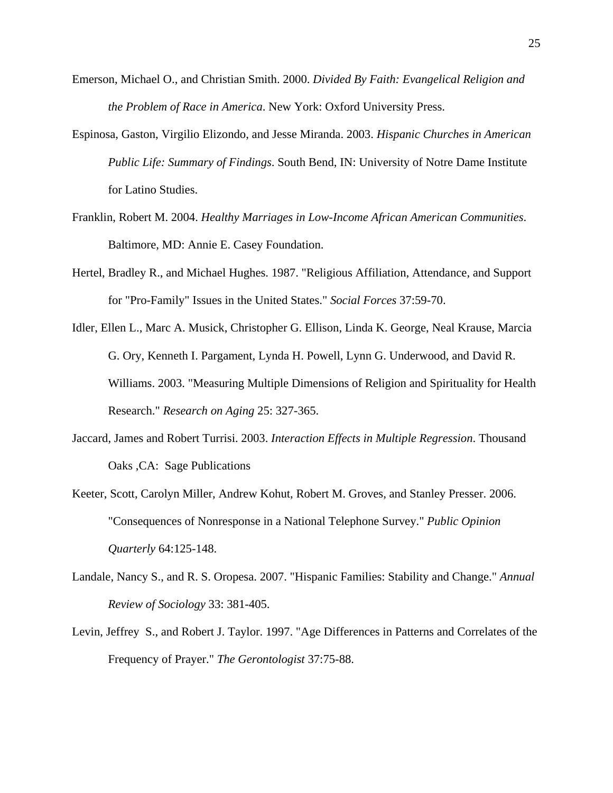- Emerson, Michael O., and Christian Smith. 2000. *Divided By Faith: Evangelical Religion and the Problem of Race in America*. New York: Oxford University Press.
- Espinosa, Gaston, Virgilio Elizondo, and Jesse Miranda. 2003. *Hispanic Churches in American Public Life: Summary of Findings*. South Bend, IN: University of Notre Dame Institute for Latino Studies.
- Franklin, Robert M. 2004. *Healthy Marriages in Low-Income African American Communities*. Baltimore, MD: Annie E. Casey Foundation.
- Hertel, Bradley R., and Michael Hughes. 1987. "Religious Affiliation, Attendance, and Support for "Pro-Family" Issues in the United States." *Social Forces* 37:59-70.
- Idler, Ellen L., Marc A. Musick, Christopher G. Ellison, Linda K. George, Neal Krause, Marcia G. Ory, Kenneth I. Pargament, Lynda H. Powell, Lynn G. Underwood, and David R. Williams. 2003. "Measuring Multiple Dimensions of Religion and Spirituality for Health Research." *Research on Aging* 25: 327-365.
- Jaccard, James and Robert Turrisi. 2003. *Interaction Effects in Multiple Regression*. Thousand Oaks ,CA: Sage Publications
- Keeter, Scott, Carolyn Miller, Andrew Kohut, Robert M. Groves, and Stanley Presser. 2006. "Consequences of Nonresponse in a National Telephone Survey." *Public Opinion Quarterly* 64:125-148.
- Landale, Nancy S., and R. S. Oropesa. 2007. "Hispanic Families: Stability and Change." *Annual Review of Sociology* 33: 381-405.
- Levin, Jeffrey S., and Robert J. Taylor. 1997. "Age Differences in Patterns and Correlates of the Frequency of Prayer." *The Gerontologist* 37:75-88.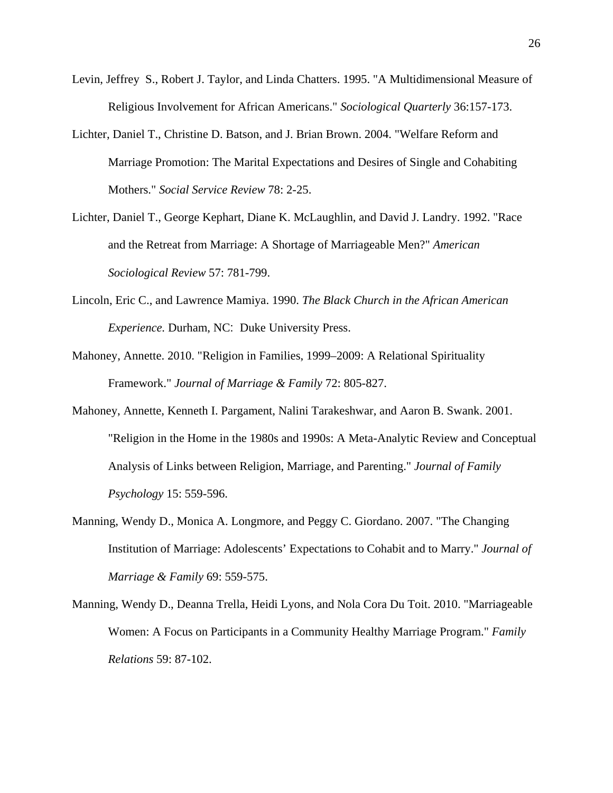- Levin, Jeffrey S., Robert J. Taylor, and Linda Chatters. 1995. "A Multidimensional Measure of Religious Involvement for African Americans." *Sociological Quarterly* 36:157-173.
- Lichter, Daniel T., Christine D. Batson, and J. Brian Brown. 2004. "Welfare Reform and Marriage Promotion: The Marital Expectations and Desires of Single and Cohabiting Mothers." *Social Service Review* 78: 2-25.
- Lichter, Daniel T., George Kephart, Diane K. McLaughlin, and David J. Landry. 1992. "Race and the Retreat from Marriage: A Shortage of Marriageable Men?" *American Sociological Review* 57: 781-799.
- Lincoln, Eric C., and Lawrence Mamiya. 1990. *The Black Church in the African American Experience.* Durham, NC: Duke University Press.
- Mahoney, Annette. 2010. "Religion in Families, 1999–2009: A Relational Spirituality Framework." *Journal of Marriage & Family* 72: 805-827.
- Mahoney, Annette, Kenneth I. Pargament, Nalini Tarakeshwar, and Aaron B. Swank. 2001. "Religion in the Home in the 1980s and 1990s: A Meta-Analytic Review and Conceptual Analysis of Links between Religion, Marriage, and Parenting." *Journal of Family Psychology* 15: 559-596.
- Manning, Wendy D., Monica A. Longmore, and Peggy C. Giordano. 2007. "The Changing Institution of Marriage: Adolescents' Expectations to Cohabit and to Marry." *Journal of Marriage & Family* 69: 559-575.
- Manning, Wendy D., Deanna Trella, Heidi Lyons, and Nola Cora Du Toit. 2010. "Marriageable Women: A Focus on Participants in a Community Healthy Marriage Program." *Family Relations* 59: 87-102.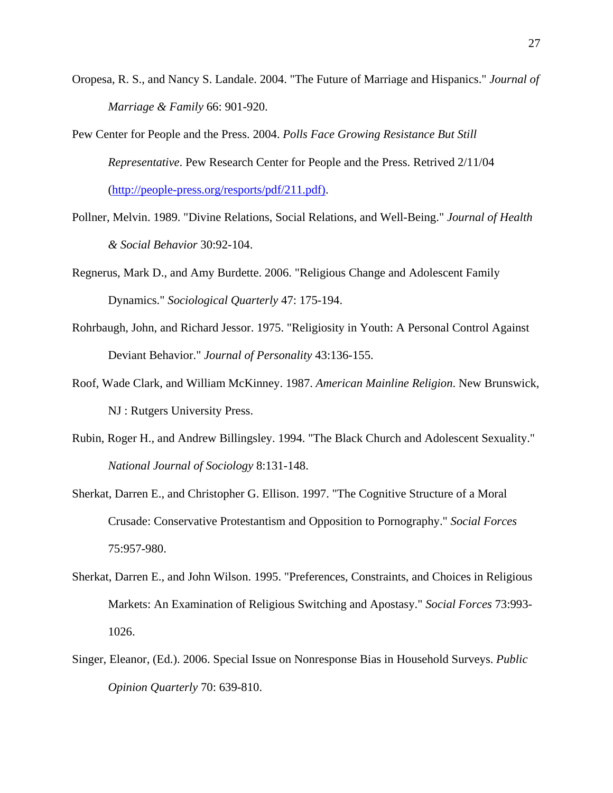- Oropesa, R. S., and Nancy S. Landale. 2004. "The Future of Marriage and Hispanics." *Journal of Marriage & Family* 66: 901-920.
- Pew Center for People and the Press. 2004. *Polls Face Growing Resistance But Still Representative*. Pew Research Center for People and the Press. Retrived 2/11/04 (http://people-press.org/resports/pdf/211.pdf).
- Pollner, Melvin. 1989. "Divine Relations, Social Relations, and Well-Being." *Journal of Health & Social Behavior* 30:92-104.
- Regnerus, Mark D., and Amy Burdette. 2006. "Religious Change and Adolescent Family Dynamics." *Sociological Quarterly* 47: 175-194.
- Rohrbaugh, John, and Richard Jessor. 1975. "Religiosity in Youth: A Personal Control Against Deviant Behavior." *Journal of Personality* 43:136-155.
- Roof, Wade Clark, and William McKinney. 1987. *American Mainline Religion*. New Brunswick, NJ : Rutgers University Press.
- Rubin, Roger H., and Andrew Billingsley. 1994. "The Black Church and Adolescent Sexuality." *National Journal of Sociology* 8:131-148.
- Sherkat, Darren E., and Christopher G. Ellison. 1997. "The Cognitive Structure of a Moral Crusade: Conservative Protestantism and Opposition to Pornography." *Social Forces* 75:957-980.
- Sherkat, Darren E., and John Wilson. 1995. "Preferences, Constraints, and Choices in Religious Markets: An Examination of Religious Switching and Apostasy." *Social Forces* 73:993- 1026.
- Singer, Eleanor, (Ed.). 2006. Special Issue on Nonresponse Bias in Household Surveys. *Public Opinion Quarterly* 70: 639-810.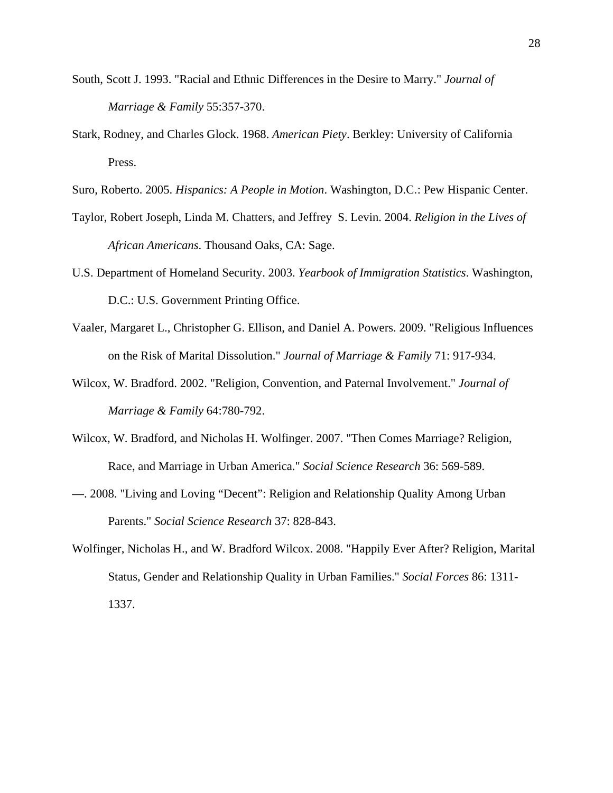- South, Scott J. 1993. "Racial and Ethnic Differences in the Desire to Marry." *Journal of Marriage & Family* 55:357-370.
- Stark, Rodney, and Charles Glock. 1968. *American Piety*. Berkley: University of California Press.
- Suro, Roberto. 2005. *Hispanics: A People in Motion*. Washington, D.C.: Pew Hispanic Center.
- Taylor, Robert Joseph, Linda M. Chatters, and Jeffrey S. Levin. 2004. *Religion in the Lives of African Americans*. Thousand Oaks, CA: Sage.
- U.S. Department of Homeland Security. 2003. *Yearbook of Immigration Statistics*. Washington, D.C.: U.S. Government Printing Office.
- Vaaler, Margaret L., Christopher G. Ellison, and Daniel A. Powers. 2009. "Religious Influences on the Risk of Marital Dissolution." *Journal of Marriage & Family* 71: 917-934.
- Wilcox, W. Bradford. 2002. "Religion, Convention, and Paternal Involvement." *Journal of Marriage & Family* 64:780-792.
- Wilcox, W. Bradford, and Nicholas H. Wolfinger. 2007. "Then Comes Marriage? Religion, Race, and Marriage in Urban America." *Social Science Research* 36: 569-589.
- —. 2008. "Living and Loving "Decent": Religion and Relationship Quality Among Urban Parents." *Social Science Research* 37: 828-843.
- Wolfinger, Nicholas H., and W. Bradford Wilcox. 2008. "Happily Ever After? Religion, Marital Status, Gender and Relationship Quality in Urban Families." *Social Forces* 86: 1311- 1337.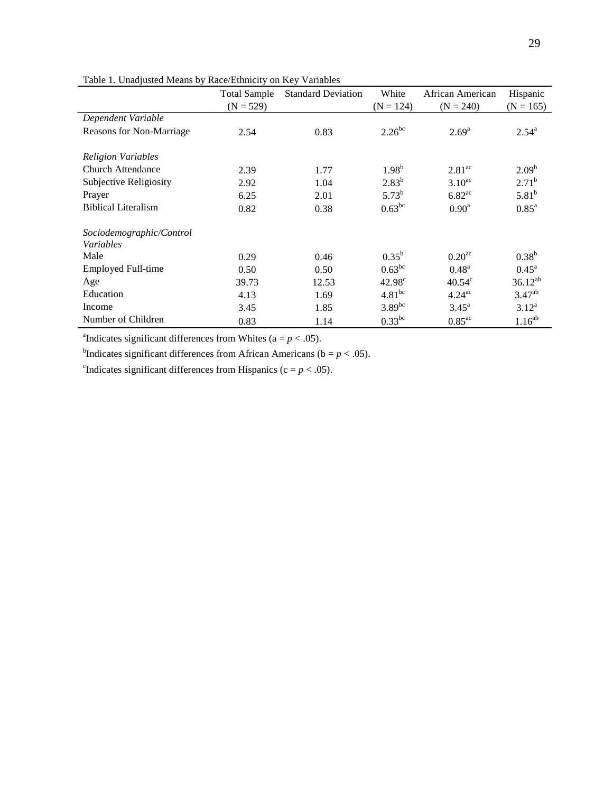|                                 | <b>Total Sample</b> | <b>Standard Deviation</b> | White           | African American     | Hispanic            |
|---------------------------------|---------------------|---------------------------|-----------------|----------------------|---------------------|
|                                 | $(N = 529)$         |                           | $(N = 124)$     | $(N = 240)$          | $(N = 165)$         |
| Dependent Variable              |                     |                           |                 |                      |                     |
| <b>Reasons for Non-Marriage</b> | 2.54                | 0.83                      | $2.26^{bc}$     | $2.69^{\rm a}$       | $2.54^{\circ}$      |
|                                 |                     |                           |                 |                      |                     |
| <b>Religion Variables</b>       |                     |                           |                 |                      |                     |
| <b>Church Attendance</b>        | 2.39                | 1.77                      | $1.98^{b}$      | 2.81 <sup>ac</sup>   | 2.09 <sup>b</sup>   |
| Subjective Religiosity          | 2.92                | 1.04                      | $2.83^{b}$      | $3.10^{ac}$          | $2.71^{b}$          |
| Prayer                          | 6.25                | 2.01                      | $5.73^{b}$      | $6.82$ <sup>ac</sup> | $5.81^{b}$          |
| <b>Biblical Literalism</b>      | 0.82                | 0.38                      | $0.63^{bc}$     | 0.90 <sup>a</sup>    | $0.85^{\mathrm{a}}$ |
| Sociodemographic/Control        |                     |                           |                 |                      |                     |
| Variables                       |                     |                           |                 |                      |                     |
| Male                            | 0.29                | 0.46                      | $0.35^{b}$      | $0.20$ <sup>ac</sup> | $0.38^{b}$          |
| Employed Full-time              | 0.50                | 0.50                      | $0.63^{bc}$     | $0.48^{\rm a}$       | $0.45^{\rm a}$      |
| Age                             | 39.73               | 12.53                     | $42.98^{\circ}$ | $40.54^{\circ}$      | $36.12^{ab}$        |
| Education                       | 4.13                | 1.69                      | $4.81^{bc}$     | $4.24^{\rm ac}$      | 3.47 <sup>ab</sup>  |
| Income                          | 3.45                | 1.85                      | $3.89^{bc}$     | $3.45^{\rm a}$       | $3.12^{\rm a}$      |
| Number of Children              | 0.83                | 1.14                      | $0.33^{bc}$     | $0.85^{\text{ac}}$   | $1.16^{ab}$         |

Table 1. Unadjusted Means by Race/Ethnicity on Key Variables

<sup>a</sup>Indicates significant differences from Whites ( $a = p < .05$ ).

<sup>b</sup>Indicates significant differences from African Americans ( $b = p < .05$ ).

<sup>c</sup>Indicates significant differences from Hispanics ( $c = p < .05$ ).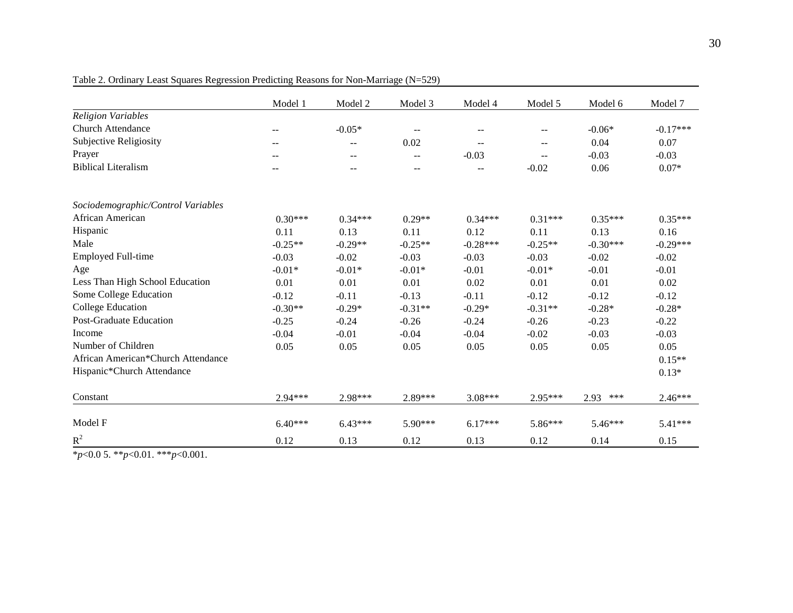|                                    | Model 1           | Model 2           | Model 3                  | Model 4           | Model 5   | Model 6     | Model 7    |
|------------------------------------|-------------------|-------------------|--------------------------|-------------------|-----------|-------------|------------|
| <b>Religion Variables</b>          |                   |                   |                          |                   |           |             |            |
| <b>Church Attendance</b>           | --                | $-0.05*$          | $\overline{\phantom{m}}$ | --                | --        | $-0.06*$    | $-0.17***$ |
| Subjective Religiosity             | $\qquad \qquad -$ | $\qquad \qquad -$ | 0.02                     | $-$               | --        | 0.04        | 0.07       |
| Prayer                             | --                | --                | $-$                      | $-0.03$           | $-$       | $-0.03$     | $-0.03$    |
| <b>Biblical Literalism</b>         | --                | $- -$             | $-$                      | $\qquad \qquad -$ | $-0.02$   | 0.06        | $0.07*$    |
| Sociodemographic/Control Variables |                   |                   |                          |                   |           |             |            |
| African American                   | $0.30***$         | $0.34***$         | $0.29**$                 | $0.34***$         | $0.31***$ | $0.35***$   | $0.35***$  |
| Hispanic                           | 0.11              | 0.13              | 0.11                     | 0.12              | 0.11      | 0.13        | 0.16       |
| Male                               | $-0.25**$         | $-0.29**$         | $-0.25**$                | $-0.28***$        | $-0.25**$ | $-0.30***$  | $-0.29***$ |
| <b>Employed Full-time</b>          | $-0.03$           | $-0.02$           | $-0.03$                  | $-0.03$           | $-0.03$   | $-0.02$     | $-0.02$    |
| Age                                | $-0.01*$          | $-0.01*$          | $-0.01*$                 | $-0.01$           | $-0.01*$  | $-0.01$     | $-0.01$    |
| Less Than High School Education    | 0.01              | 0.01              | 0.01                     | 0.02              | 0.01      | 0.01        | 0.02       |
| Some College Education             | $-0.12$           | $-0.11$           | $-0.13$                  | $-0.11$           | $-0.12$   | $-0.12$     | $-0.12$    |
| College Education                  | $-0.30**$         | $-0.29*$          | $-0.31**$                | $-0.29*$          | $-0.31**$ | $-0.28*$    | $-0.28*$   |
| <b>Post-Graduate Education</b>     | $-0.25$           | $-0.24$           | $-0.26$                  | $-0.24$           | $-0.26$   | $-0.23$     | $-0.22$    |
| Income                             | $-0.04$           | $-0.01$           | $-0.04$                  | $-0.04$           | $-0.02$   | $-0.03$     | $-0.03$    |
| Number of Children                 | 0.05              | 0.05              | 0.05                     | 0.05              | 0.05      | 0.05        | 0.05       |
| African American*Church Attendance |                   |                   |                          |                   |           |             | $0.15**$   |
| Hispanic*Church Attendance         |                   |                   |                          |                   |           |             | $0.13*$    |
| Constant                           | $2.94***$         | $2.98***$         | 2.89***                  | $3.08***$         | $2.95***$ | 2.93<br>*** | $2.46***$  |
| Model F                            | $6.40***$         | $6.43***$         | 5.90***                  | $6.17***$         | 5.86***   | $5.46***$   | 5.41***    |
| $R^2$                              | 0.12              | 0.13              | 0.12                     | 0.13              | 0.12      | 0.14        | 0.15       |

Table 2. Ordinary Least Squares Regression Predicting Reasons for Non-Marriage (N=529)

\**p*<0.0 5. \*\**p*<0.01. \*\*\**p*<0.001.